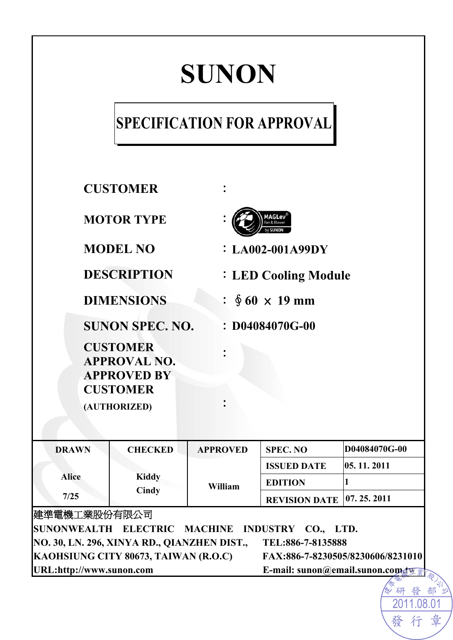# **SUNON**

# **SPECIFICATION FOR APPROVAL**

| <b>CUSTOMER</b>                                              |                        |                 |                                   |                               |  |  |
|--------------------------------------------------------------|------------------------|-----------------|-----------------------------------|-------------------------------|--|--|
| <b>MOTOR TYPE</b>                                            |                        |                 | 1AGLev                            |                               |  |  |
|                                                              | <b>MODEL NO</b>        |                 | $: LA002-001A99DY$                |                               |  |  |
|                                                              | <b>DESCRIPTION</b>     |                 | <b>: LED Cooling Module</b>       |                               |  |  |
| <b>DIMENSIONS</b>                                            |                        |                 | : $\oint 60 \times 19$ mm         |                               |  |  |
|                                                              | <b>SUNON SPEC. NO.</b> |                 |                                   | $: D04084070G-00$             |  |  |
| <b>CUSTOMER</b><br><b>APPROVAL NO.</b><br><b>APPROVED BY</b> |                        |                 |                                   |                               |  |  |
| <b>CUSTOMER</b>                                              |                        |                 |                                   |                               |  |  |
|                                                              |                        |                 |                                   |                               |  |  |
|                                                              | (AUTHORIZED)           |                 |                                   |                               |  |  |
| <b>DRAWN</b>                                                 | <b>CHECKED</b>         | <b>APPROVED</b> | <b>SPEC. NO</b>                   | D04084070G-00                 |  |  |
|                                                              |                        |                 | <b>ISSUED DATE</b>                | 05.11.2011                    |  |  |
| <b>Alice</b>                                                 | <b>Kiddy</b>           | William         | <b>EDITION</b>                    | $\mathbf{1}$                  |  |  |
| 7/25                                                         | Cindy                  |                 | <b>REVISION DATE</b>              | 07.25.2011                    |  |  |
| 建準電機工業股份有限公司                                                 |                        |                 |                                   |                               |  |  |
| SUNONWEALTH ELECTRIC MACHINE<br>INDUSTRY CO., LTD.           |                        |                 |                                   |                               |  |  |
| NO. 30, LN. 296, XINYA RD., QIANZHEN DIST.,                  |                        |                 | TEL:886-7-8135888                 |                               |  |  |
| KAOHSIUNG CITY 80673, TAIWAN (R.O.C)                         |                        |                 | FAX:886-7-8230505/8230606/8231010 |                               |  |  |
| URL:http://www.sunon.com                                     |                        |                 |                                   | E-mail: sunon@email.sunon.com |  |  |
|                                                              |                        |                 |                                   |                               |  |  |

*≫ 研 發 部 <sup>すい</sup><br>-* 2011.08.01 章 發行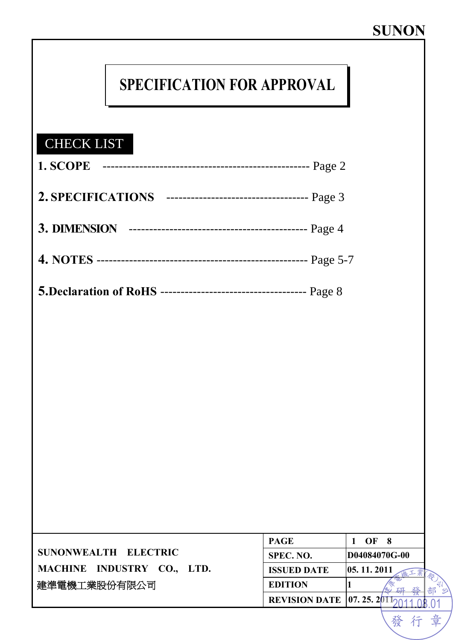發行章

# **SPECIFICATION FOR APPROVAL**

### CHECK LIST

|                            | <b>PAGE</b>                     | OF            |  |
|----------------------------|---------------------------------|---------------|--|
| SUNONWEALTH ELECTRIC       | SPEC. NO.                       | D04084070G-00 |  |
| MACHINE INDUSTRY CO., LTD. | <b>ISSUED DATE</b>              | 05, 11, 2011  |  |
| 建準電機工業股份有限公司               | <b>EDITION</b>                  |               |  |
|                            | <b>REVISION DATE 107.25.201</b> |               |  |
|                            |                                 |               |  |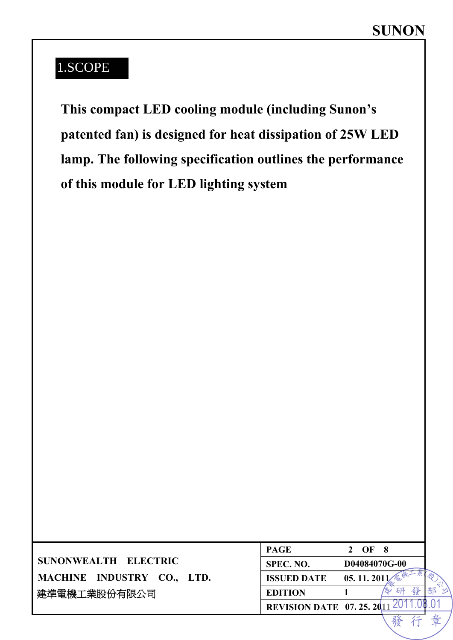### 1.SCOPE

**This compact LED cooling module (including Sunon's patented fan) is designed for heat dissipation of 25W LED lamp. The following specification outlines the performance of this module for LED lighting system** 

|                            | <b>PAGE</b>                       | OF            |        |  |
|----------------------------|-----------------------------------|---------------|--------|--|
| SUNONWEALTH ELECTRIC       | SPEC. NO.                         | D04084070G-00 |        |  |
| MACHINE INDUSTRY CO., LTD. | <b>ISSUED DATE</b>                | 05.11.20      |        |  |
| 建準電機工業股份有限公司               | <b>EDITION</b>                    |               | 研<br>襟 |  |
|                            | <b>REVISION DATE 07. 25. 2011</b> |               |        |  |
|                            |                                   |               |        |  |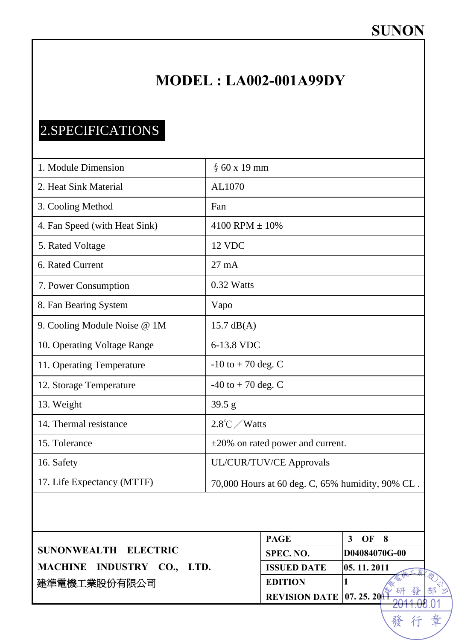### **MODEL : LA002-001A99DY**

## 2.SPECIFICATIONS

| 1. Module Dimension           | \$60 x 19 mm                                     |
|-------------------------------|--------------------------------------------------|
| 2. Heat Sink Material         | AL1070                                           |
| 3. Cooling Method             | Fan                                              |
| 4. Fan Speed (with Heat Sink) | 4100 RPM $\pm$ 10%                               |
| 5. Rated Voltage              | 12 VDC                                           |
| 6. Rated Current              | $27 \text{ mA}$                                  |
| 7. Power Consumption          | 0.32 Watts                                       |
| 8. Fan Bearing System         | Vapo                                             |
| 9. Cooling Module Noise @ 1M  | $15.7 \text{ dB}(A)$                             |
| 10. Operating Voltage Range   | 6-13.8 VDC                                       |
| 11. Operating Temperature     | $-10$ to $+70$ deg. C                            |
| 12. Storage Temperature       | $-40$ to $+70$ deg. C                            |
| 13. Weight                    | 39.5 g                                           |
| 14. Thermal resistance        | $2.8^{\circ}$ C / Watts                          |
| 15. Tolerance                 | $\pm 20\%$ on rated power and current.           |
| 16. Safety                    | UL/CUR/TUV/CE Approvals                          |
| 17. Life Expectancy (MTTF)    | 70,000 Hours at 60 deg. C, 65% humidity, 90% CL. |

|                            | <b>PAGE</b>                       | OF            |
|----------------------------|-----------------------------------|---------------|
| SUNONWEALTH ELECTRIC       | SPEC. NO.                         | D04084070G-00 |
| MACHINE INDUSTRY CO., LTD. | <b>ISSUED DATE</b>                | 05, 11, 2011  |
| 建準電機工業股份有限公司               | <b>EDITION</b>                    |               |
|                            | <b>REVISION DATE   07. 25. 20</b> |               |

<del>2011.08</del>.01 行 章

發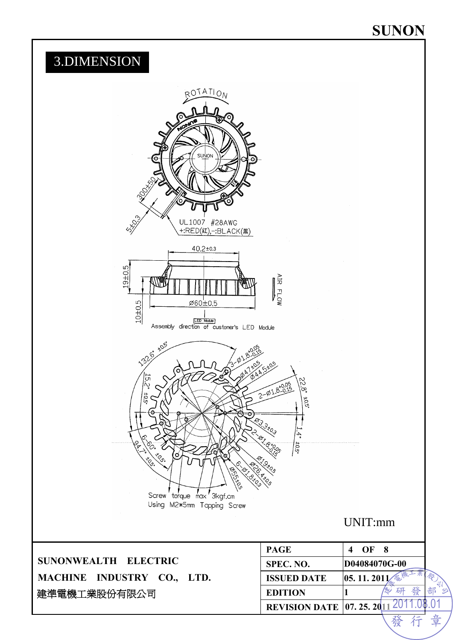### **SUNON**

### 3.DIMENSION ROTATION UL1007 #28AWG  $+$ :RED( $x$ ),  $-$ :BLACK( $x$ )  $40.2 \pm 0.3$  $-9 + 0.5$ AIR FLOW  $10 + 0.5$ Ø60±0.5 ED Module<br>Assembly direction of customer's LED Module š  $\sqrt{91.8^{+0}}$  $\widetilde{\widetilde{\mathcal{C}}}$  $\frac{1}{2}$  $\frac{1}{2}$ Screw torque max '3kgf.cm Using M2\*5mm Tapping Screw UNIT:mm **PAGE** 4 OF 8 **SUNONWEALTH ELECTRIC SPEC. NO. D04084070G-00 MACHINE INDUSTRY CO., LTD. ISSUED DATE** 05. 11. 2011 k. 契 了一部 **EDITION** 1 研 發 建準電機工業股份有限公司  $.01$ **REVISION DATE 07. 25. 2011 20**

章 仃

發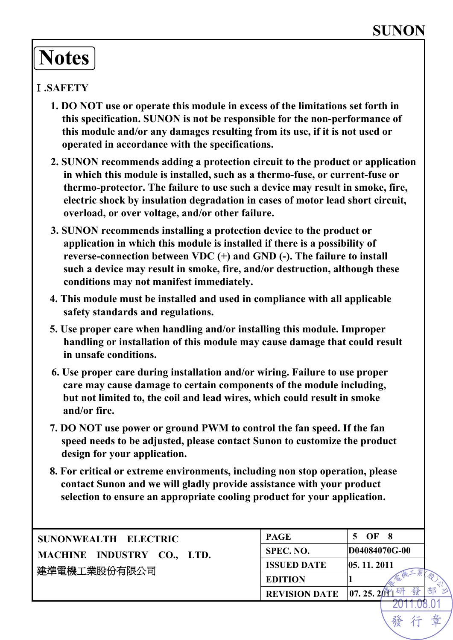# **Notes**

#### Ⅰ**.SAFETY**

- **1. DO NOT use or operate this module in excess of the limitations set forth in this specification. SUNON is not be responsible for the non-performance of this module and/or any damages resulting from its use, if it is not used or operated in accordance with the specifications.**
- **2. SUNON recommends adding a protection circuit to the product or application in which this module is installed, such as a thermo-fuse, or current-fuse or thermo-protector. The failure to use such a device may result in smoke, fire, electric shock by insulation degradation in cases of motor lead short circuit, overload, or over voltage, and/or other failure.**
- **3. SUNON recommends installing a protection device to the product or application in which this module is installed if there is a possibility of reverse-connection between VDC (+) and GND (-). The failure to install such a device may result in smoke, fire, and/or destruction, although these conditions may not manifest immediately.**
- **4. This module must be installed and used in compliance with all applicable safety standards and regulations.**
- **5. Use proper care when handling and/or installing this module. Improper handling or installation of this module may cause damage that could result in unsafe conditions.**
- **6. Use proper care during installation and/or wiring. Failure to use proper care may cause damage to certain components of the module including, but not limited to, the coil and lead wires, which could result in smoke and/or fire.**
- **7. DO NOT use power or ground PWM to control the fan speed. If the fan speed needs to be adjusted, please contact Sunon to customize the product design for your application.**
- **8. For critical or extreme environments, including non stop operation, please contact Sunon and we will gladly provide assistance with your product selection to ensure an appropriate cooling product for your application.**

| SUNONWEALTH ELECTRIC       | <b>PAGE</b>                                          | 5 OF 8        |
|----------------------------|------------------------------------------------------|---------------|
| MACHINE INDUSTRY CO., LTD. | SPEC. NO.                                            | D04084070G-00 |
| 建準電機工業股份有限公司               | <b>ISSUED DATE</b>                                   | 05, 11, 2011  |
|                            | <b>EDITION</b>                                       |               |
|                            | <b>REVISION DATE</b> $\left 07, 25, 20\right\rangle$ | 發<br>------   |

2011.08.01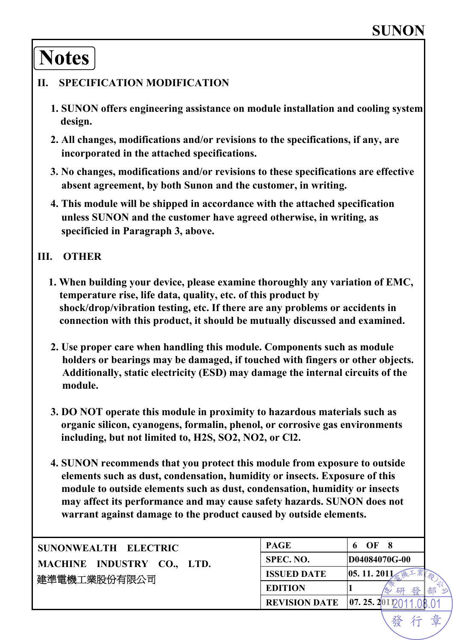行

發

# **Notes**

#### **II. SPECIFICATION MODIFICATION**

- **1. SUNON offers engineering assistance on module installation and cooling system design.**
- **2. All changes, modifications and/or revisions to the specifications, if any, are incorporated in the attached specifications.**
- **3. No changes, modifications and/or revisions to these specifications are effective absent agreement, by both Sunon and the customer, in writing.**
- **4. This module will be shipped in accordance with the attached specification unless SUNON and the customer have agreed otherwise, in writing, as specificied in Paragraph 3, above.**

#### **III. OTHER**

- **1. When building your device, please examine thoroughly any variation of EMC, temperature rise, life data, quality, etc. of this product by shock/drop/vibration testing, etc. If there are any problems or accidents in connection with this product, it should be mutually discussed and examined.**
- **2. Use proper care when handling this module. Components such as module holders or bearings may be damaged, if touched with fingers or other objects. Additionally, static electricity (ESD) may damage the internal circuits of the module.**
- **3. DO NOT operate this module in proximity to hazardous materials such as organic silicon, cyanogens, formalin, phenol, or corrosive gas environments including, but not limited to, H2S, SO2, NO2, or Cl2.**
- **4. SUNON recommends that you protect this module from exposure to outside elements such as dust, condensation, humidity or insects. Exposure of this module to outside elements such as dust, condensation, humidity or insects may affect its performance and may cause safety hazards. SUNON does not warrant against damage to the product caused by outside elements.**

| SUNONWEALTH ELECTRIC       | <b>PAGE</b>          | OF                          |
|----------------------------|----------------------|-----------------------------|
| MACHINE INDUSTRY CO., LTD. | SPEC. NO.            | D04084070G-00               |
| 建準電機工業股份有限公司               | <b>ISSUED DATE</b>   | 05.11.201                   |
|                            | <b>EDITION</b>       | 發<br>部<br>研                 |
|                            | <b>REVISION DATE</b> | $\left[07, 25, 2011\right]$ |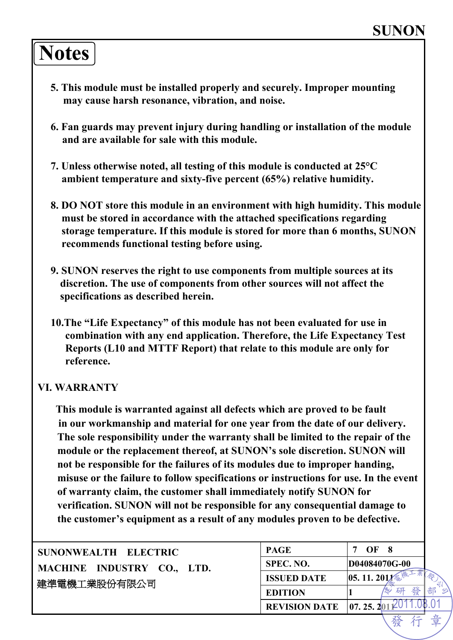# **Notes**

- **5. This module must be installed properly and securely. Improper mounting may cause harsh resonance, vibration, and noise.**
- **6. Fan guards may prevent injury during handling or installation of the module and are available for sale with this module.**
- **7. Unless otherwise noted, all testing of this module is conducted at 25°C ambient temperature and sixty-five percent (65%) relative humidity.**
- **8. DO NOT store this module in an environment with high humidity. This module must be stored in accordance with the attached specifications regarding storage temperature. If this module is stored for more than 6 months, SUNON recommends functional testing before using.**
- **9. SUNON reserves the right to use components from multiple sources at its discretion. The use of components from other sources will not affect the specifications as described herein.**
- **10.The "Life Expectancy" of this module has not been evaluated for use in combination with any end application. Therefore, the Life Expectancy Test Reports (L10 and MTTF Report) that relate to this module are only for reference.**

#### **VI. WARRANTY**

**This module is warranted against all defects which are proved to be fault in our workmanship and material for one year from the date of our delivery. The sole responsibility under the warranty shall be limited to the repair of the module or the replacement thereof, at SUNON's sole discretion. SUNON will not be responsible for the failures of its modules due to improper handing, misuse or the failure to follow specifications or instructions for use. In the event of warranty claim, the customer shall immediately notify SUNON for verification. SUNON will not be responsible for any consequential damage to the customer's equipment as a result of any modules proven to be defective.** 

| SUNONWEALTH ELECTRIC       | <b>PAGE</b>                                      | OF            |
|----------------------------|--------------------------------------------------|---------------|
| MACHINE INDUSTRY CO., LTD. | SPEC. NO.                                        | D04084070G-00 |
| 建準電機工業股份有限公司               | <b>ISSUED DATE</b>                               | 05.11.201     |
|                            | <b>EDITION</b>                                   | 發<br>研        |
|                            | <b>REVISION DATE</b> $\left 07, 25, 2011\right $ |               |